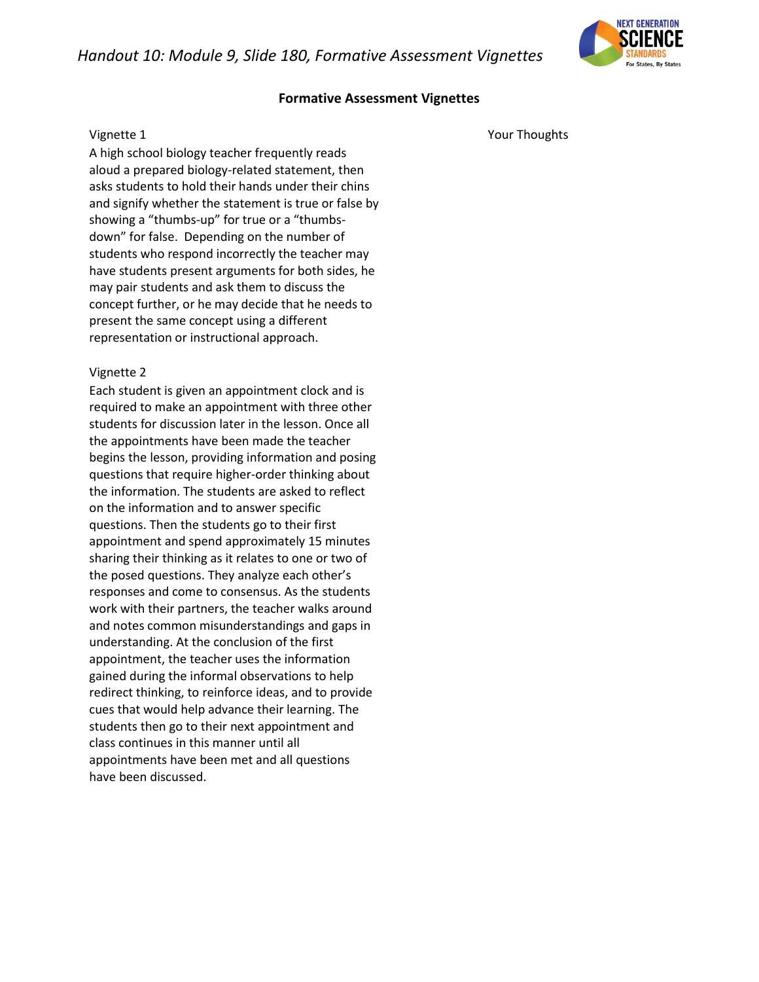*Handout 10: Module 9, Slide 180, Formative Assessment Vignettes* 

# **Formative Assessment Vignettes**

#### Vignette 1

A high school biology teacher frequently reads aloud a prepared biology-related statement, then asks students to hold their hands under their chins and signify whether the statement is true or false by showing a "thumbs-up" for true or a "thumbsdown" for false. Depending on the number of students who respond incorrectly the teacher may have students present arguments for both sides, he may pair students and ask them to discuss the concept further, or he may decide that he needs to present the same concept using a different representation or instructional approach.

## Vignette 2

Each student is given an appointment clock and is required to make an appointment with three other students for discussion later in the lesson. Once all the appointments have been made the teacher begins the lesson, providing information and posing questions that require higher-order thinking about the information. The students are asked to reflect on the information and to answer specific questions. Then the students go to their first appointment and spend approximately 15 minutes sharing their thinking as it relates to one or two of the posed questions. They analyze each other's responses and come to consensus. As the students work with their partners, the teacher walks around and notes common misunderstandings and gaps in understanding. At the conclusion of the first appointment, the teacher uses the information gained during the informal observations to help redirect thinking, to reinforce ideas, and to provide cues that would help advance their learning. The students then go to their next appointment and class continues in this manner until all appointments have been met and all questions have been discussed.

Your Thoughts